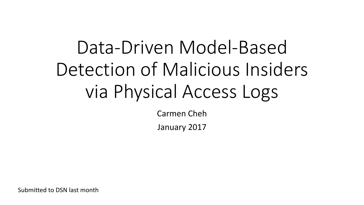# Data-Driven Model-Based Detection of Malicious Insiders via Physical Access Logs

Carmen Cheh

January 2017

Submitted to DSN last month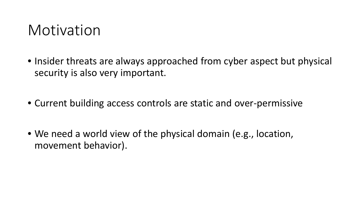### Motivation

- Insider threats are always approached from cyber aspect but physical security is also very important.
- Current building access controls are static and over-permissive
- We need a world view of the physical domain (e.g., location, movement behavior).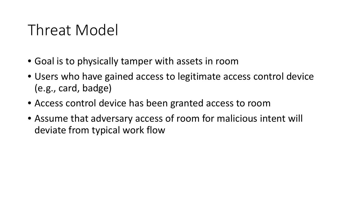# Threat Model

- Goal is to physically tamper with assets in room
- Users who have gained access to legitimate access control device (e.g., card, badge)
- Access control device has been granted access to room
- Assume that adversary access of room for malicious intent will deviate from typical work flow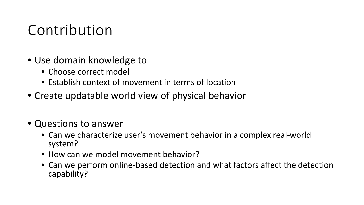### Contribution

- Use domain knowledge to
	- Choose correct model
	- Establish context of movement in terms of location
- Create updatable world view of physical behavior
- Questions to answer
	- Can we characterize user's movement behavior in a complex real-world system?
	- How can we model movement behavior?
	- Can we perform online-based detection and what factors affect the detection capability?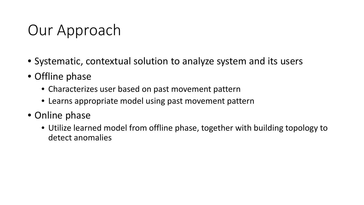# Our Approach

- Systematic, contextual solution to analyze system and its users
- Offline phase
	- Characterizes user based on past movement pattern
	- Learns appropriate model using past movement pattern
- Online phase
	- Utilize learned model from offline phase, together with building topology to detect anomalies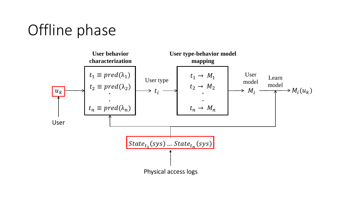# Offline phase

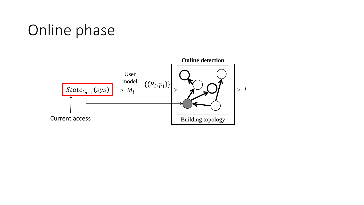# Online phase

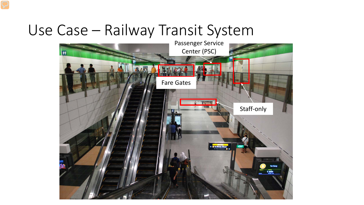### Use Case – Railway Transit System

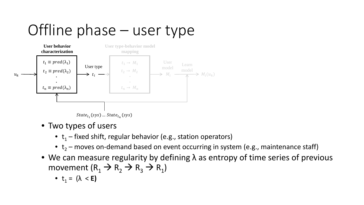# Offline phase – user type



- Two types of users
	- $t_1$  fixed shift, regular behavior (e.g., station operators)
	- $t_2$  moves on-demand based on event occurring in system (e.g., maintenance staff)
- We can measure regularity by defining  $\lambda$  as entropy of time series of previous movement  $(R_1 \rightarrow R_2 \rightarrow R_3 \rightarrow R_1)$

• 
$$
t_1 = (\lambda < E)
$$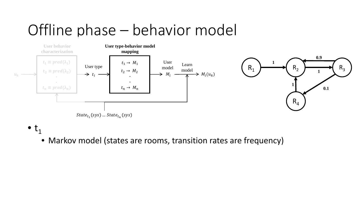# Offline phase – behavior model



 $\bullet$  t<sub>1</sub>

• Markov model (states are rooms, transition rates are frequency)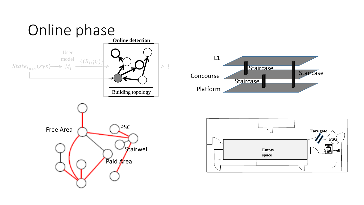



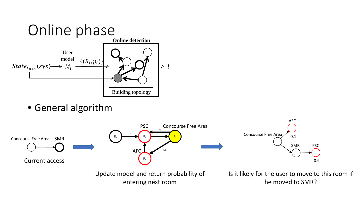

• General algorithm

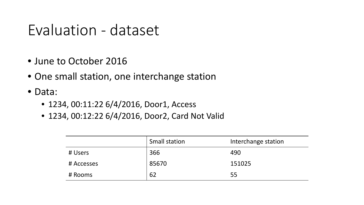### Evaluation - dataset

- June to October 2016
- One small station, one interchange station
- Data:
	- 1234, 00:11:22 6/4/2016, Door1, Access
	- 1234, 00:12:22 6/4/2016, Door2, Card Not Valid

|            | <b>Small station</b> | Interchange station |
|------------|----------------------|---------------------|
| # Users    | 366                  | 490                 |
| # Accesses | 85670                | 151025              |
| # Rooms    | 62                   | 55                  |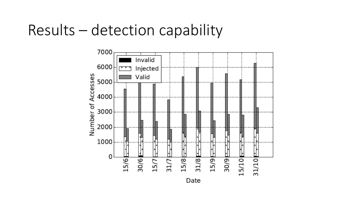### Results – detection capability

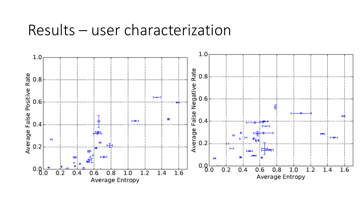#### Results – user characterization

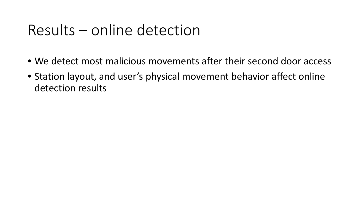### Results – online detection

- We detect most malicious movements after their second door access
- Station layout, and user's physical movement behavior affect online detection results